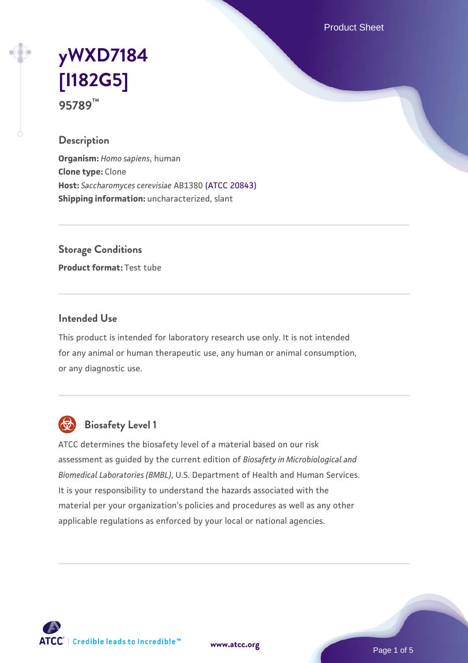Product Sheet

# **[yWXD7184](https://www.atcc.org/products/95789) [\[I182G5\]](https://www.atcc.org/products/95789) 95789™**

### **Description**

**Organism:** *Homo sapiens*, human **Clone type:** Clone **Host:** *Saccharomyces cerevisiae* AB1380 [\(ATCC 20843\)](https://www.atcc.org/products/20843) **Shipping information:** uncharacterized, slant

**Storage Conditions**

**Product format:** Test tube

## **Intended Use**

This product is intended for laboratory research use only. It is not intended for any animal or human therapeutic use, any human or animal consumption, or any diagnostic use.



## **Biosafety Level 1**

ATCC determines the biosafety level of a material based on our risk assessment as guided by the current edition of *Biosafety in Microbiological and Biomedical Laboratories (BMBL)*, U.S. Department of Health and Human Services. It is your responsibility to understand the hazards associated with the material per your organization's policies and procedures as well as any other applicable regulations as enforced by your local or national agencies.

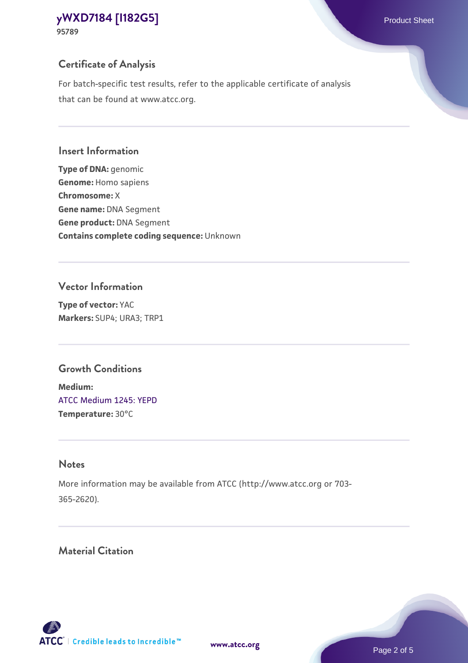**95789**

## **Certificate of Analysis**

For batch-specific test results, refer to the applicable certificate of analysis that can be found at www.atcc.org.

#### **Insert Information**

**Type of DNA:** genomic **Genome:** Homo sapiens **Chromosome:** X **Gene name:** DNA Segment **Gene product:** DNA Segment **Contains complete coding sequence:** Unknown

### **Vector Information**

**Type of vector:** YAC **Markers:** SUP4; URA3; TRP1

## **Growth Conditions**

**Medium:**  [ATCC Medium 1245: YEPD](https://www.atcc.org/-/media/product-assets/documents/microbial-media-formulations/1/2/4/5/atcc-medium-1245.pdf?rev=705ca55d1b6f490a808a965d5c072196) **Temperature:** 30°C

## **Notes**

More information may be available from ATCC (http://www.atcc.org or 703- 365-2620).

## **Material Citation**

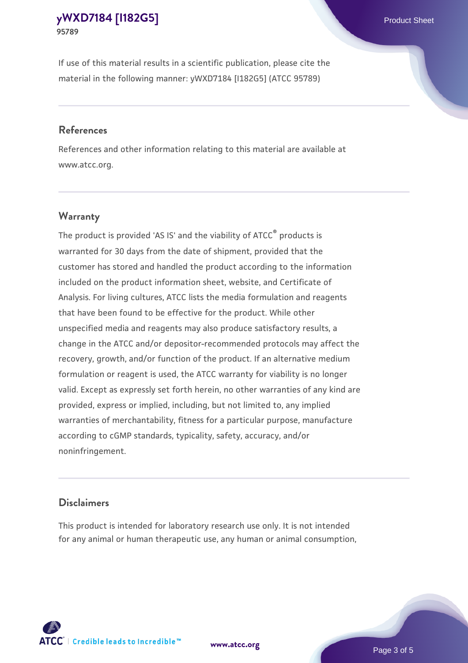If use of this material results in a scientific publication, please cite the material in the following manner: yWXD7184 [I182G5] (ATCC 95789)

#### **References**

References and other information relating to this material are available at www.atcc.org.

### **Warranty**

The product is provided 'AS IS' and the viability of  $ATCC<sup>®</sup>$  products is warranted for 30 days from the date of shipment, provided that the customer has stored and handled the product according to the information included on the product information sheet, website, and Certificate of Analysis. For living cultures, ATCC lists the media formulation and reagents that have been found to be effective for the product. While other unspecified media and reagents may also produce satisfactory results, a change in the ATCC and/or depositor-recommended protocols may affect the recovery, growth, and/or function of the product. If an alternative medium formulation or reagent is used, the ATCC warranty for viability is no longer valid. Except as expressly set forth herein, no other warranties of any kind are provided, express or implied, including, but not limited to, any implied warranties of merchantability, fitness for a particular purpose, manufacture according to cGMP standards, typicality, safety, accuracy, and/or noninfringement.

#### **Disclaimers**

This product is intended for laboratory research use only. It is not intended for any animal or human therapeutic use, any human or animal consumption,





Page 3 of 5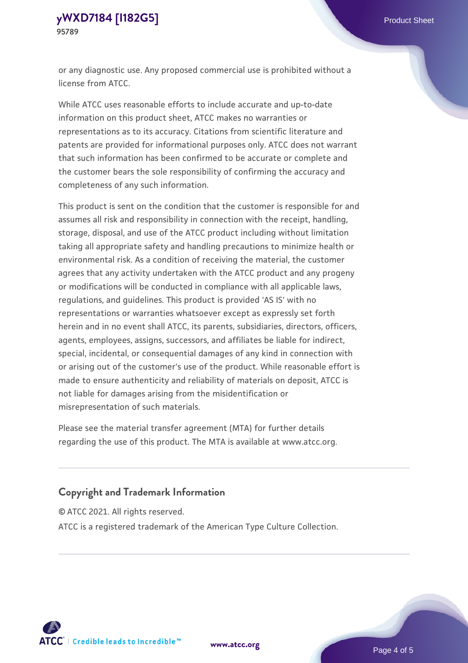or any diagnostic use. Any proposed commercial use is prohibited without a license from ATCC.

While ATCC uses reasonable efforts to include accurate and up-to-date information on this product sheet, ATCC makes no warranties or representations as to its accuracy. Citations from scientific literature and patents are provided for informational purposes only. ATCC does not warrant that such information has been confirmed to be accurate or complete and the customer bears the sole responsibility of confirming the accuracy and completeness of any such information.

This product is sent on the condition that the customer is responsible for and assumes all risk and responsibility in connection with the receipt, handling, storage, disposal, and use of the ATCC product including without limitation taking all appropriate safety and handling precautions to minimize health or environmental risk. As a condition of receiving the material, the customer agrees that any activity undertaken with the ATCC product and any progeny or modifications will be conducted in compliance with all applicable laws, regulations, and guidelines. This product is provided 'AS IS' with no representations or warranties whatsoever except as expressly set forth herein and in no event shall ATCC, its parents, subsidiaries, directors, officers, agents, employees, assigns, successors, and affiliates be liable for indirect, special, incidental, or consequential damages of any kind in connection with or arising out of the customer's use of the product. While reasonable effort is made to ensure authenticity and reliability of materials on deposit, ATCC is not liable for damages arising from the misidentification or misrepresentation of such materials.

Please see the material transfer agreement (MTA) for further details regarding the use of this product. The MTA is available at www.atcc.org.

## **Copyright and Trademark Information**

© ATCC 2021. All rights reserved.

ATCC is a registered trademark of the American Type Culture Collection.



**[www.atcc.org](http://www.atcc.org)**